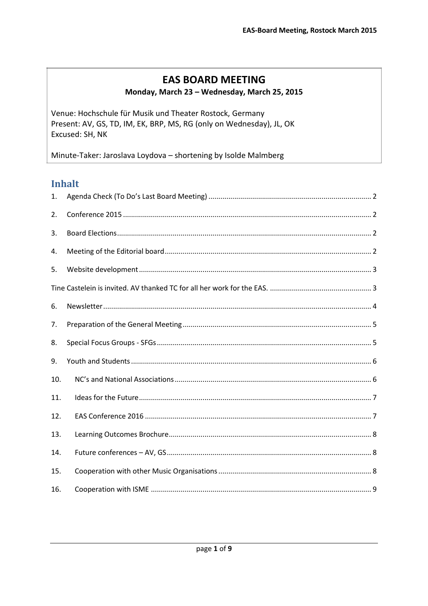### **EAS BOARD MEETING**

#### Monday, March 23 - Wednesday, March 25, 2015

Venue: Hochschule für Musik und Theater Rostock, Germany Present: AV, GS, TD, IM, EK, BRP, MS, RG (only on Wednesday), JL, OK Excused: SH, NK

Minute-Taker: Jaroslava Loydova - shortening by Isolde Malmberg

#### **Inhalt**

| 1.  |  |
|-----|--|
| 2.  |  |
| 3.  |  |
| 4.  |  |
| 5.  |  |
|     |  |
| 6.  |  |
| 7.  |  |
| 8.  |  |
| 9.  |  |
| 10. |  |
| 11. |  |
| 12. |  |
| 13. |  |
| 14. |  |
| 15. |  |
| 16. |  |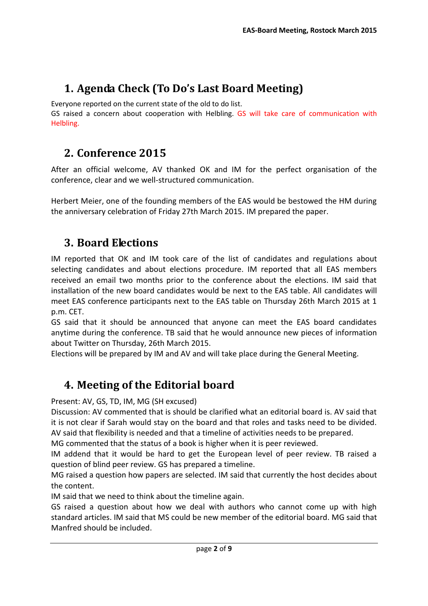# <span id="page-1-0"></span>**1. Agenda Check (To Do's Last Board Meeting)**

Everyone reported on the current state of the old to do list.

GS raised a concern about cooperation with Helbling. GS will take care of communication with Helbling.

### <span id="page-1-1"></span>**2. Conference 2015**

After an official welcome, AV thanked OK and IM for the perfect organisation of the conference, clear and we well-structured communication.

Herbert Meier, one of the founding members of the EAS would be bestowed the HM during the anniversary celebration of Friday 27th March 2015. IM prepared the paper.

# <span id="page-1-2"></span>**3. Board Elections**

IM reported that OK and IM took care of the list of candidates and regulations about selecting candidates and about elections procedure. IM reported that all EAS members received an email two months prior to the conference about the elections. IM said that installation of the new board candidates would be next to the EAS table. All candidates will meet EAS conference participants next to the EAS table on Thursday 26th March 2015 at 1 p.m. CET.

GS said that it should be announced that anyone can meet the EAS board candidates anytime during the conference. TB said that he would announce new pieces of information about Twitter on Thursday, 26th March 2015.

Elections will be prepared by IM and AV and will take place during the General Meeting.

### <span id="page-1-3"></span>**4. Meeting of the Editorial board**

Present: AV, GS, TD, IM, MG (SH excused)

Discussion: AV commented that is should be clarified what an editorial board is. AV said that it is not clear if Sarah would stay on the board and that roles and tasks need to be divided. AV said that flexibility is needed and that a timeline of activities needs to be prepared.

MG commented that the status of a book is higher when it is peer reviewed.

IM addend that it would be hard to get the European level of peer review. TB raised a question of blind peer review. GS has prepared a timeline.

MG raised a question how papers are selected. IM said that currently the host decides about the content.

IM said that we need to think about the timeline again.

GS raised a question about how we deal with authors who cannot come up with high standard articles. IM said that MS could be new member of the editorial board. MG said that Manfred should be included.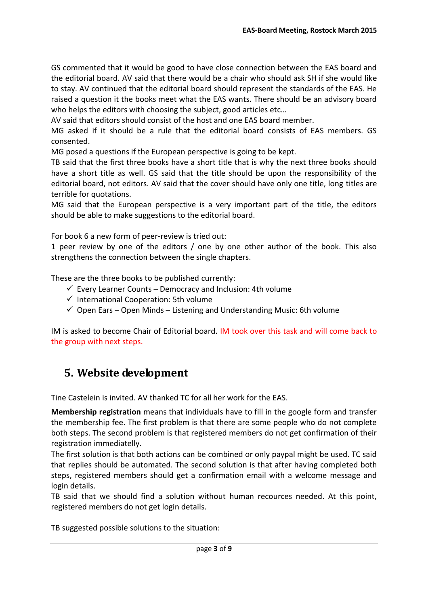GS commented that it would be good to have close connection between the EAS board and the editorial board. AV said that there would be a chair who should ask SH if she would like to stay. AV continued that the editorial board should represent the standards of the EAS. He raised a question it the books meet what the EAS wants. There should be an advisory board who helps the editors with choosing the subject, good articles etc…

AV said that editors should consist of the host and one EAS board member.

MG asked if it should be a rule that the editorial board consists of EAS members. GS consented.

MG posed a questions if the European perspective is going to be kept.

TB said that the first three books have a short title that is why the next three books should have a short title as well. GS said that the title should be upon the responsibility of the editorial board, not editors. AV said that the cover should have only one title, long titles are terrible for quotations.

MG said that the European perspective is a very important part of the title, the editors should be able to make suggestions to the editorial board.

For book 6 a new form of peer-review is tried out:

1 peer review by one of the editors / one by one other author of the book. This also strengthens the connection between the single chapters.

These are the three books to be published currently:

- $\checkmark$  Every Learner Counts Democracy and Inclusion: 4th volume
- $\checkmark$  International Cooperation: 5th volume
- $\checkmark$  Open Ears Open Minds Listening and Understanding Music: 6th volume

IM is asked to become Chair of Editorial board. IM took over this task and will come back to the group with next steps.

#### <span id="page-2-0"></span>**5. Website development**

<span id="page-2-1"></span>Tine Castelein is invited. AV thanked TC for all her work for the EAS.

**Membership registration** means that individuals have to fill in the google form and transfer the membership fee. The first problem is that there are some people who do not complete both steps. The second problem is that registered members do not get confirmation of their registration immediatelly.

The first solution is that both actions can be combined or only paypal might be used. TC said that replies should be automated. The second solution is that after having completed both steps, registered members should get a confirmation email with a welcome message and login details.

TB said that we should find a solution without human recources needed. At this point, registered members do not get login details.

TB suggested possible solutions to the situation: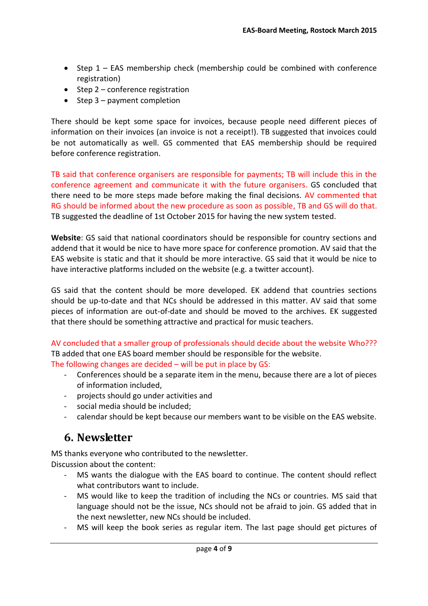- Step 1 EAS membership check (membership could be combined with conference registration)
- $\bullet$  Step 2 conference registration
- $\bullet$  Step 3 payment completion

There should be kept some space for invoices, because people need different pieces of information on their invoices (an invoice is not a receipt!). TB suggested that invoices could be not automatically as well. GS commented that EAS membership should be required before conference registration.

TB said that conference organisers are responsible for payments; TB will include this in the conference agreement and communicate it with the future organisers. GS concluded that there need to be more steps made before making the final decisions. AV commented that RG should be informed about the new procedure as soon as possible, TB and GS will do that. TB suggested the deadline of 1st October 2015 for having the new system tested.

**Website**: GS said that national coordinators should be responsible for country sections and addend that it would be nice to have more space for conference promotion. AV said that the EAS website is static and that it should be more interactive. GS said that it would be nice to have interactive platforms included on the website (e.g. a twitter account).

GS said that the content should be more developed. EK addend that countries sections should be up-to-date and that NCs should be addressed in this matter. AV said that some pieces of information are out-of-date and should be moved to the archives. EK suggested that there should be something attractive and practical for music teachers.

AV concluded that a smaller group of professionals should decide about the website Who??? TB added that one EAS board member should be responsible for the website.

The following changes are decided – will be put in place by GS:

- Conferences should be a separate item in the menu, because there are a lot of pieces of information included,
- projects should go under activities and
- social media should be included;
- calendar should be kept because our members want to be visible on the EAS website.

#### <span id="page-3-0"></span>**6. Newsletter**

MS thanks everyone who contributed to the newsletter. Discussion about the content:

- MS wants the dialogue with the EAS board to continue. The content should reflect what contributors want to include.
- MS would like to keep the tradition of including the NCs or countries. MS said that language should not be the issue, NCs should not be afraid to join. GS added that in the next newsletter, new NCs should be included.
- MS will keep the book series as regular item. The last page should get pictures of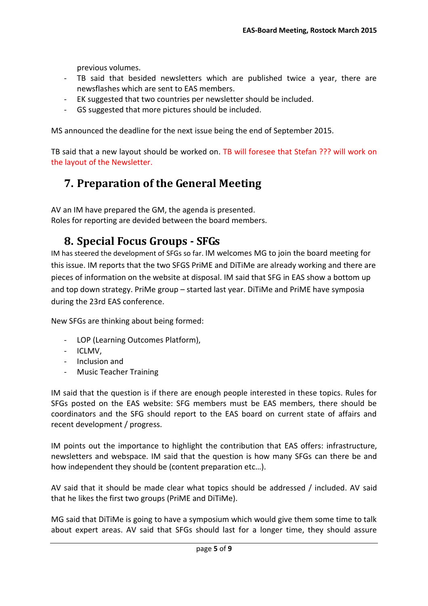previous volumes.

- TB said that besided newsletters which are published twice a year, there are newsflashes which are sent to EAS members.
- EK suggested that two countries per newsletter should be included.
- GS suggested that more pictures should be included.

MS announced the deadline for the next issue being the end of September 2015.

TB said that a new layout should be worked on. TB will foresee that Stefan ??? will work on the layout of the Newsletter.

### <span id="page-4-0"></span>**7. Preparation of the General Meeting**

AV an IM have prepared the GM, the agenda is presented. Roles for reporting are devided between the board members.

#### <span id="page-4-1"></span>**8. Special Focus Groups - SFGs**

IM has steered the development of SFGs so far. IM welcomes MG to join the board meeting for this issue. IM reports that the two SFGS PriME and DiTiMe are already working and there are pieces of information on the website at disposal. IM said that SFG in EAS show a bottom up and top down strategy. PriMe group – started last year. DiTiMe and PriME have symposia during the 23rd EAS conference.

New SFGs are thinking about being formed:

- LOP (Learning Outcomes Platform),
- ICLMV,
- Inclusion and
- Music Teacher Training

IM said that the question is if there are enough people interested in these topics. Rules for SFGs posted on the EAS website: SFG members must be EAS members, there should be coordinators and the SFG should report to the EAS board on current state of affairs and recent development / progress.

IM points out the importance to highlight the contribution that EAS offers: infrastructure, newsletters and webspace. IM said that the question is how many SFGs can there be and how independent they should be (content preparation etc…).

AV said that it should be made clear what topics should be addressed / included. AV said that he likes the first two groups (PriME and DiTiMe).

MG said that DiTiMe is going to have a symposium which would give them some time to talk about expert areas. AV said that SFGs should last for a longer time, they should assure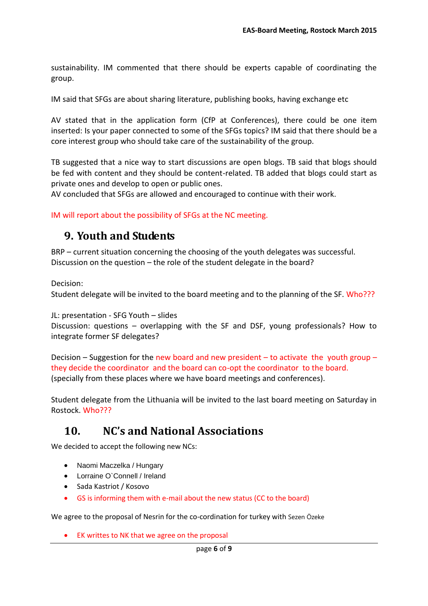sustainability. IM commented that there should be experts capable of coordinating the group.

IM said that SFGs are about sharing literature, publishing books, having exchange etc

AV stated that in the application form (CfP at Conferences), there could be one item inserted: Is your paper connected to some of the SFGs topics? IM said that there should be a core interest group who should take care of the sustainability of the group.

TB suggested that a nice way to start discussions are open blogs. TB said that blogs should be fed with content and they should be content-related. TB added that blogs could start as private ones and develop to open or public ones.

AV concluded that SFGs are allowed and encouraged to continue with their work.

<span id="page-5-0"></span>IM will report about the possibility of SFGs at the NC meeting.

#### **9. Youth and Students**

BRP – current situation concerning the choosing of the youth delegates was successful. Discussion on the question – the role of the student delegate in the board?

Decision:

Student delegate will be invited to the board meeting and to the planning of the SF. Who???

JL: presentation - SFG Youth – slides

Discussion: questions – overlapping with the SF and DSF, young professionals? How to integrate former SF delegates?

Decision – Suggestion for the new board and new president – to activate the youth group – they decide the coordinator and the board can co-opt the coordinator to the board. (specially from these places where we have board meetings and conferences).

Student delegate from the Lithuania will be invited to the last board meeting on Saturday in Rostock. Who???

#### <span id="page-5-1"></span>**10. NC's and National Associations**

We decided to accept the following new NCs:

- Naomi Maczelka / Hungary
- Lorraine O`Connell / Ireland
- Sada Kastriot / Kosovo
- GS is informing them with e-mail about the new status (CC to the board)

We agree to the proposal of Nesrin for the co-cordination for turkey with Sezen Özeke

EK writtes to NK that we agree on the proposal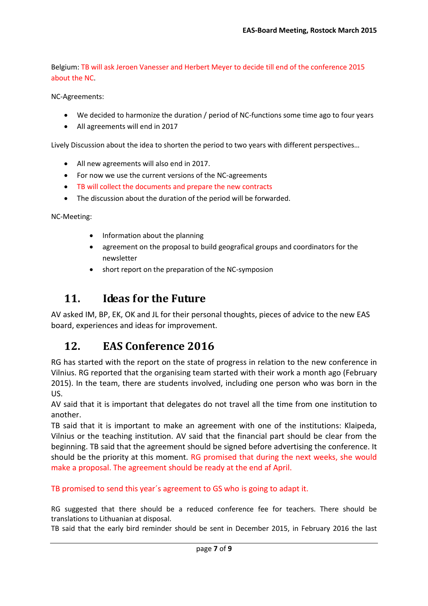Belgium: TB will ask Jeroen Vanesser and Herbert Meyer to decide till end of the conference 2015 about the NC.

NC-Agreements:

- We decided to harmonize the duration / period of NC-functions some time ago to four years
- All agreements will end in 2017

Lively Discussion about the idea to shorten the period to two years with different perspectives…

- All new agreements will also end in 2017.
- For now we use the current versions of the NC-agreements
- TB will collect the documents and prepare the new contracts
- The discussion about the duration of the period will be forwarded.

NC-Meeting:

- Information about the planning
- agreement on the proposal to build geografical groups and coordinators for the newsletter
- short report on the preparation of the NC-symposion

### <span id="page-6-0"></span>**11. Ideas for the Future**

AV asked IM, BP, EK, OK and JL for their personal thoughts, pieces of advice to the new EAS board, experiences and ideas for improvement.

#### <span id="page-6-1"></span>**12. EAS Conference 2016**

RG has started with the report on the state of progress in relation to the new conference in Vilnius. RG reported that the organising team started with their work a month ago (February 2015). In the team, there are students involved, including one person who was born in the US.

AV said that it is important that delegates do not travel all the time from one institution to another.

TB said that it is important to make an agreement with one of the institutions: Klaipeda, Vilnius or the teaching institution. AV said that the financial part should be clear from the beginning. TB said that the agreement should be signed before advertising the conference. It should be the priority at this moment. RG promised that during the next weeks, she would make a proposal. The agreement should be ready at the end af April.

TB promised to send this year´s agreement to GS who is going to adapt it.

RG suggested that there should be a reduced conference fee for teachers. There should be translations to Lithuanian at disposal.

TB said that the early bird reminder should be sent in December 2015, in February 2016 the last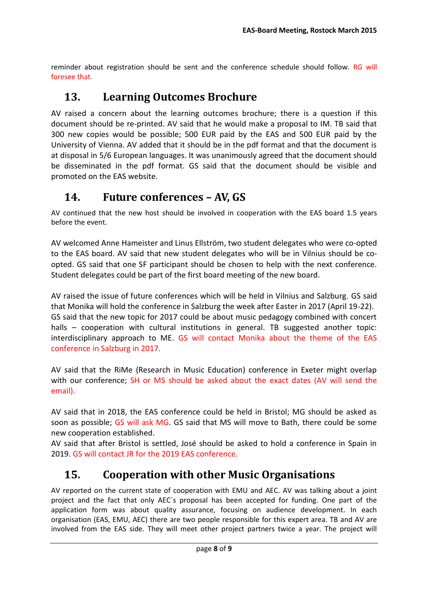reminder about registration should be sent and the conference schedule should follow. RG will foresee that.

#### <span id="page-7-0"></span>**13. Learning Outcomes Brochure**

AV raised a concern about the learning outcomes brochure; there is a question if this document should be re-printed. AV said that he would make a proposal to IM. TB said that 300 new copies would be possible; 500 EUR paid by the EAS and 500 EUR paid by the University of Vienna. AV added that it should be in the pdf format and that the document is at disposal in 5/6 European languages. It was unanimously agreed that the document should be disseminated in the pdf format. GS said that the document should be visible and promoted on the EAS website.

#### <span id="page-7-1"></span>**14. Future conferences – AV, GS**

AV continued that the new host should be involved in cooperation with the EAS board 1.5 years before the event.

AV welcomed Anne Hameister and Linus Ellström, two student delegates who were co-opted to the EAS board. AV said that new student delegates who will be in Vilnius should be coopted. GS said that one SF participant should be chosen to help with the next conference. Student delegates could be part of the first board meeting of the new board.

AV raised the issue of future conferences which will be held in Vilnius and Salzburg. GS said that Monika will hold the conference in Salzburg the week after Easter in 2017 (April 19-22). GS said that the new topic for 2017 could be about music pedagogy combined with concert halls – cooperation with cultural institutions in general. TB suggested another topic: interdisciplinary approach to ME. GS will contact Monika about the theme of the EAS conference in Salzburg in 2017.

AV said that the RiMe (Research in Music Education) conference in Exeter might overlap with our conference; SH or MS should be asked about the exact dates (AV will send the email).

AV said that in 2018, the EAS conference could be held in Bristol; MG should be asked as soon as possible; GS will ask MG. GS said that MS will move to Bath, there could be some new cooperation established.

AV said that after Bristol is settled, José should be asked to hold a conference in Spain in 2019. GS will contact JR for the 2019 EAS conference.

# <span id="page-7-2"></span>**15. Cooperation with other Music Organisations**

AV reported on the current state of cooperation with EMU and AEC. AV was talking about a joint project and the fact that only AEC´s proposal has been accepted for funding. One part of the application form was about quality assurance, focusing on audience development. In each organisation (EAS, EMU, AEC) there are two people responsible for this expert area. TB and AV are involved from the EAS side. They will meet other project partners twice a year. The project will